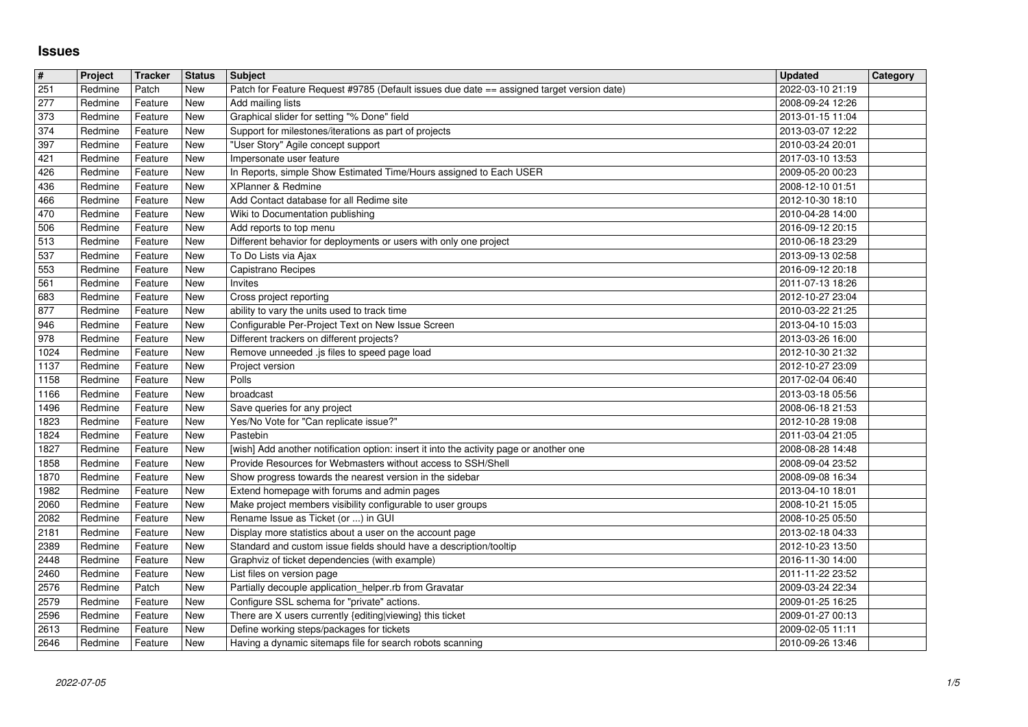## **Issues**

| $\#$         | Project            | Tracker            | <b>Status</b> | Subject                                                                                                              | <b>Updated</b>                       | Category |
|--------------|--------------------|--------------------|---------------|----------------------------------------------------------------------------------------------------------------------|--------------------------------------|----------|
| 251<br>277   | Redmine<br>Redmine | Patch<br>Feature   | New<br>New    | Patch for Feature Request #9785 (Default issues due date == assigned target version date)<br>Add mailing lists       | 2022-03-10 21:19<br>2008-09-24 12:26 |          |
| 373          | Redmine            | Feature            | New           | Graphical slider for setting "% Done" field                                                                          | 2013-01-15 11:04                     |          |
| 374          | Redmine            | Feature            | New           | Support for milestones/iterations as part of projects                                                                | 2013-03-07 12:22                     |          |
| 397<br>421   | Redmine<br>Redmine | Feature<br>Feature | New<br>New    | "User Story" Agile concept support<br>Impersonate user feature                                                       | 2010-03-24 20:01<br>2017-03-10 13:53 |          |
| 426          | Redmine            | Feature            | New           | In Reports, simple Show Estimated Time/Hours assigned to Each USER                                                   | 2009-05-20 00:23                     |          |
| 436          | Redmine            | Feature            | New           | XPlanner & Redmine                                                                                                   | 2008-12-10 01:51                     |          |
| 466<br>470   | Redmine<br>Redmine | Feature<br>Feature | New<br>New    | Add Contact database for all Redime site<br>Wiki to Documentation publishing                                         | 2012-10-30 18:10<br>2010-04-28 14:00 |          |
| 506          | Redmine            | Feature            | New           | Add reports to top menu                                                                                              | 2016-09-12 20:15                     |          |
| 513<br>537   | Redmine<br>Redmine | Feature<br>Feature | New<br>New    | Different behavior for deployments or users with only one project<br>To Do Lists via Ajax                            | 2010-06-18 23:29<br>2013-09-13 02:58 |          |
| 553          | Redmine            | Feature            | New           | Capistrano Recipes                                                                                                   | 2016-09-12 20:18                     |          |
| 561          | Redmine            | Feature            | New           | Invites                                                                                                              | 2011-07-13 18:26                     |          |
| 683<br>877   | Redmine<br>Redmine | Feature<br>Feature | New<br>New    | Cross project reporting<br>ability to vary the units used to track time                                              | 2012-10-27 23:04<br>2010-03-22 21:25 |          |
| 946          | Redmine            | Feature            | New           | Configurable Per-Project Text on New Issue Screen                                                                    | 2013-04-10 15:03                     |          |
| 978<br>1024  | Redmine<br>Redmine | Feature<br>Feature | New<br>New    | Different trackers on different projects?<br>Remove unneeded .js files to speed page load                            | 2013-03-26 16:00<br>2012-10-30 21:32 |          |
| 1137         | Redmine            | Feature            | New           | Project version                                                                                                      | 2012-10-27 23:09                     |          |
| 1158         | Redmine            | Feature            | New           | Polls                                                                                                                | 2017-02-04 06:40                     |          |
| 1166<br>1496 | Redmine<br>Redmine | Feature<br>Feature | New<br>New    | broadcast<br>Save queries for any project                                                                            | 2013-03-18 05:56<br>2008-06-18 21:53 |          |
| 1823         | Redmine            | Feature            | New           | Yes/No Vote for "Can replicate issue?"                                                                               | 2012-10-28 19:08                     |          |
| 1824<br>1827 | Redmine<br>Redmine | Feature<br>Feature | New<br>New    | Pastebin<br>[wish] Add another notification option: insert it into the activity page or another one                  | 2011-03-04 21:05<br>2008-08-28 14:48 |          |
| 1858         | Redmine            | Feature            | New           | Provide Resources for Webmasters without access to SSH/Shell                                                         | 2008-09-04 23:52                     |          |
| 1870         | Redmine            | Feature            | New           | Show progress towards the nearest version in the sidebar                                                             | 2008-09-08 16:34                     |          |
| 1982<br>2060 | Redmine<br>Redmine | Feature<br>Feature | New<br>New    | Extend homepage with forums and admin pages<br>Make project members visibility configurable to user groups           | 2013-04-10 18:01<br>2008-10-21 15:05 |          |
| 2082         | Redmine            | Feature            | New           | Rename Issue as Ticket (or ) in GUI                                                                                  | 2008-10-25 05:50                     |          |
| 2181         | Redmine            | Feature            | New           | Display more statistics about a user on the account page                                                             | 2013-02-18 04:33                     |          |
| 2389<br>2448 | Redmine<br>Redmine | Feature<br>Feature | New<br>New    | Standard and custom issue fields should have a description/tooltip<br>Graphviz of ticket dependencies (with example) | 2012-10-23 13:50<br>2016-11-30 14:00 |          |
| 2460         | Redmine            | Feature            | New           | List files on version page                                                                                           | 2011-11-22 23:52                     |          |
| 2576<br>2579 | Redmine<br>Redmine | Patch<br>Feature   | New<br>New    | Partially decouple application_helper.rb from Gravatar<br>Configure SSL schema for "private" actions.                | 2009-03-24 22:34<br>2009-01-25 16:25 |          |
| 2596         | Redmine Feature    |                    | New           | There are X users currently {editing viewing} this ticket                                                            | 2009-01-27 00:13                     |          |
| 2613<br>2646 | Redmine<br>Redmine | Feature<br>Feature | New<br>New    | Define working steps/packages for tickets<br>Having a dynamic sitemaps file for search robots scanning               | 2009-02-05 11:11<br>2010-09-26 13:46 |          |
|              |                    |                    |               |                                                                                                                      |                                      |          |
|              |                    |                    |               |                                                                                                                      |                                      |          |
|              |                    |                    |               |                                                                                                                      |                                      |          |
|              |                    |                    |               |                                                                                                                      |                                      |          |
|              |                    |                    |               |                                                                                                                      |                                      |          |
|              |                    |                    |               |                                                                                                                      |                                      |          |
|              |                    |                    |               |                                                                                                                      |                                      |          |
|              |                    |                    |               |                                                                                                                      |                                      |          |
|              |                    |                    |               |                                                                                                                      |                                      |          |
|              |                    |                    |               |                                                                                                                      |                                      |          |
|              |                    |                    |               |                                                                                                                      |                                      |          |
|              |                    |                    |               |                                                                                                                      |                                      |          |
|              |                    |                    |               |                                                                                                                      |                                      |          |
|              |                    |                    |               |                                                                                                                      |                                      |          |
|              |                    |                    |               |                                                                                                                      |                                      |          |
|              |                    |                    |               |                                                                                                                      |                                      |          |
|              |                    |                    |               |                                                                                                                      |                                      |          |
|              |                    |                    |               |                                                                                                                      |                                      |          |
|              |                    |                    |               |                                                                                                                      |                                      |          |
|              |                    |                    |               |                                                                                                                      |                                      |          |
|              |                    |                    |               |                                                                                                                      |                                      |          |
|              |                    |                    |               |                                                                                                                      |                                      |          |
|              |                    |                    |               |                                                                                                                      |                                      |          |
|              |                    |                    |               |                                                                                                                      |                                      |          |
|              |                    |                    |               |                                                                                                                      |                                      |          |
|              |                    |                    |               |                                                                                                                      |                                      |          |
|              |                    |                    |               |                                                                                                                      |                                      |          |
|              |                    |                    |               |                                                                                                                      |                                      |          |
|              |                    |                    |               |                                                                                                                      |                                      |          |
|              |                    |                    |               |                                                                                                                      |                                      |          |
|              |                    |                    |               |                                                                                                                      |                                      |          |
|              |                    |                    |               |                                                                                                                      |                                      |          |
|              |                    |                    |               |                                                                                                                      |                                      |          |
|              |                    |                    |               |                                                                                                                      |                                      |          |
|              |                    |                    |               |                                                                                                                      |                                      |          |
|              |                    |                    |               |                                                                                                                      |                                      |          |
|              |                    |                    |               |                                                                                                                      |                                      |          |
|              |                    |                    |               |                                                                                                                      |                                      |          |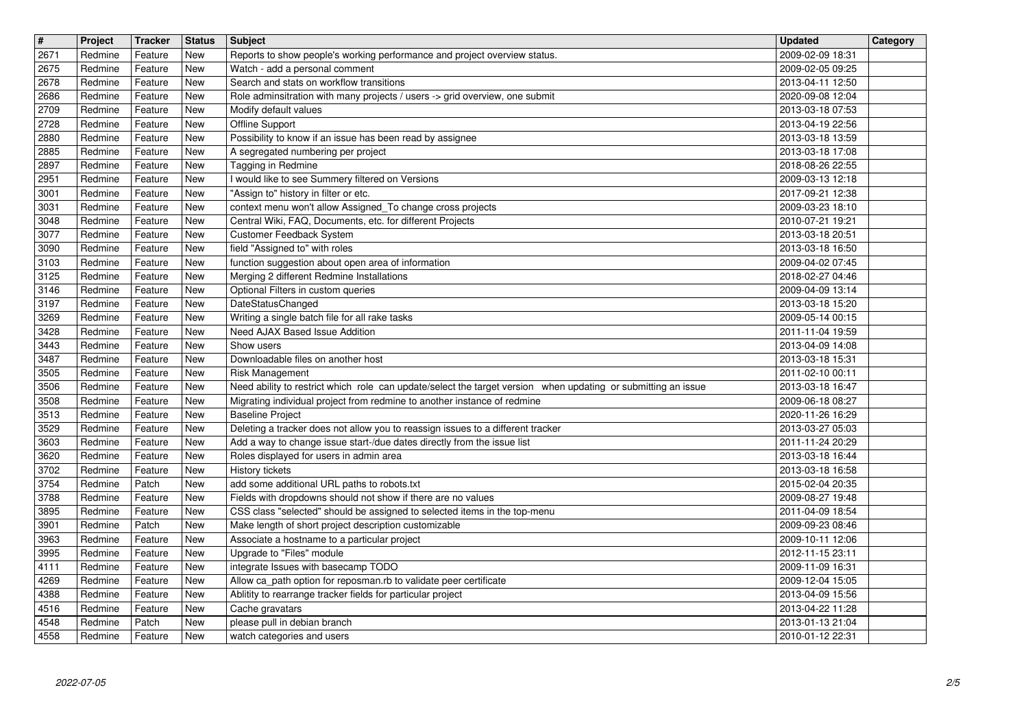| $\overline{\mathbf{H}}$<br>2671 | Project<br>Redmine | <b>Tracker</b><br>Feature | <b>Status</b><br>New | <b>Subject</b>                                                                                                                            | <b>Updated</b><br>2009-02-09 18:31   | Category |
|---------------------------------|--------------------|---------------------------|----------------------|-------------------------------------------------------------------------------------------------------------------------------------------|--------------------------------------|----------|
| 2675                            | Redmine            | Feature                   | New                  | Reports to show people's working performance and project overview status.<br>Watch - add a personal comment                               | 2009-02-05 09:25                     |          |
| 2678<br>2686                    | Redmine<br>Redmine | Feature<br>Feature        | New<br>New           | Search and stats on workflow transitions<br>Role adminsitration with many projects / users -> grid overview, one submit                   | 2013-04-11 12:50<br>2020-09-08 12:04 |          |
| 2709                            | Redmine            | Feature                   | New                  | Modify default values                                                                                                                     | 2013-03-18 07:53                     |          |
| 2728<br>2880                    | Redmine<br>Redmine | Feature<br>Feature        | New<br>New           | Offline Support<br>Possibility to know if an issue has been read by assignee                                                              | 2013-04-19 22:56<br>2013-03-18 13:59 |          |
| 2885<br>2897                    | Redmine<br>Redmine | Feature<br>Feature        | New<br>New           | A segregated numbering per project<br>Tagging in Redmine                                                                                  | 2013-03-18 17:08<br>2018-08-26 22:55 |          |
| 2951                            | Redmine            | Feature                   | <b>New</b>           | I would like to see Summery filtered on Versions                                                                                          | 2009-03-13 12:18                     |          |
| 3001<br>3031                    | Redmine<br>Redmine | Feature<br>Feature        | New<br>New           | "Assign to" history in filter or etc.<br>context menu won't allow Assigned_To change cross projects                                       | 2017-09-21 12:38<br>2009-03-23 18:10 |          |
| 3048<br>3077                    | Redmine<br>Redmine | Feature<br>Feature        | New<br>New           | Central Wiki, FAQ, Documents, etc. for different Projects<br>Customer Feedback System                                                     | 2010-07-21 19:21<br>2013-03-18 20:51 |          |
| 3090                            | Redmine            | Feature                   | New                  | field "Assigned to" with roles                                                                                                            | 2013-03-18 16:50                     |          |
| 3103<br>3125                    | Redmine<br>Redmine | Feature<br>Feature        | New<br>New           | function suggestion about open area of information<br>Merging 2 different Redmine Installations                                           | 2009-04-02 07:45<br>2018-02-27 04:46 |          |
| 3146<br>3197                    | Redmine<br>Redmine | Feature<br>Feature        | New<br>New           | Optional Filters in custom queries<br><b>DateStatusChanged</b>                                                                            | 2009-04-09 13:14<br>2013-03-18 15:20 |          |
| 3269                            | Redmine            | Feature                   | New                  | Writing a single batch file for all rake tasks                                                                                            | 2009-05-14 00:15                     |          |
| 3428<br>3443                    | Redmine<br>Redmine | Feature<br>Feature        | New<br>New           | Need AJAX Based Issue Addition<br>Show users                                                                                              | 2011-11-04 19:59<br>2013-04-09 14:08 |          |
| 3487<br>3505                    | Redmine<br>Redmine | Feature<br>Feature        | New<br>New           | Downloadable files on another host<br>Risk Management                                                                                     | 2013-03-18 15:31<br>2011-02-10 00:11 |          |
| 3506                            | Redmine            | Feature                   | New                  | Need ability to restrict which role can update/select the target version when updating or submitting an issue                             | 2013-03-18 16:47                     |          |
| 3508<br>3513                    | Redmine<br>Redmine | Feature<br>Feature        | New<br>New           | Migrating individual project from redmine to another instance of redmine<br><b>Baseline Project</b>                                       | 2009-06-18 08:27<br>2020-11-26 16:29 |          |
| 3529                            | Redmine            | Feature                   | New<br>New           | Deleting a tracker does not allow you to reassign issues to a different tracker                                                           | 2013-03-27 05:03                     |          |
| 3603<br>3620                    | Redmine<br>Redmine | Feature<br>Feature        | New                  | Add a way to change issue start-/due dates directly from the issue list<br>Roles displayed for users in admin area                        | 2011-11-24 20:29<br>2013-03-18 16:44 |          |
| 3702<br>3754                    | Redmine<br>Redmine | Feature<br>Patch          | New<br>New           | History tickets<br>add some additional URL paths to robots.txt                                                                            | 2013-03-18 16:58<br>2015-02-04 20:35 |          |
| 3788                            | Redmine            | Feature                   | New                  | Fields with dropdowns should not show if there are no values<br>CSS class "selected" should be assigned to selected items in the top-menu | 2009-08-27 19:48                     |          |
| 3895<br>3901                    | Redmine<br>Redmine | Feature<br>Patch          | New<br>New           | Make length of short project description customizable                                                                                     | 2011-04-09 18:54<br>2009-09-23 08:46 |          |
| 3963<br>3995                    | Redmine<br>Redmine | Feature<br>Feature        | New<br>New           | Associate a hostname to a particular project<br>Upgrade to "Files" module                                                                 | 2009-10-11 12:06<br>2012-11-15 23:11 |          |
| 4111                            | Redmine            | Feature                   | New                  | integrate Issues with basecamp TODO                                                                                                       | 2009-11-09 16:31                     |          |
| 4269<br>4388                    | Redmine<br>Redmine | Feature<br>Feature        | New<br>New           | Allow ca_path option for reposman.rb to validate peer certificate<br>Ablitity to rearrange tracker fields for particular project          | 2009-12-04 15:05<br>2013-04-09 15:56 |          |
| 4516<br>4548                    | Redmine<br>Redmine | Feature<br>Patch          | New<br>New           | Cache gravatars<br>please pull in debian branch                                                                                           | 2013-04-22 11:28<br>2013-01-13 21:04 |          |
| 4558                            | Redmine            | Feature                   | New                  | watch categories and users                                                                                                                | 2010-01-12 22:31                     |          |
|                                 |                    |                           |                      |                                                                                                                                           |                                      |          |
|                                 |                    |                           |                      |                                                                                                                                           |                                      |          |
|                                 |                    |                           |                      |                                                                                                                                           |                                      |          |
|                                 |                    |                           |                      |                                                                                                                                           |                                      |          |
|                                 |                    |                           |                      |                                                                                                                                           |                                      |          |
|                                 |                    |                           |                      |                                                                                                                                           |                                      |          |
|                                 |                    |                           |                      |                                                                                                                                           |                                      |          |
|                                 |                    |                           |                      |                                                                                                                                           |                                      |          |
|                                 |                    |                           |                      |                                                                                                                                           |                                      |          |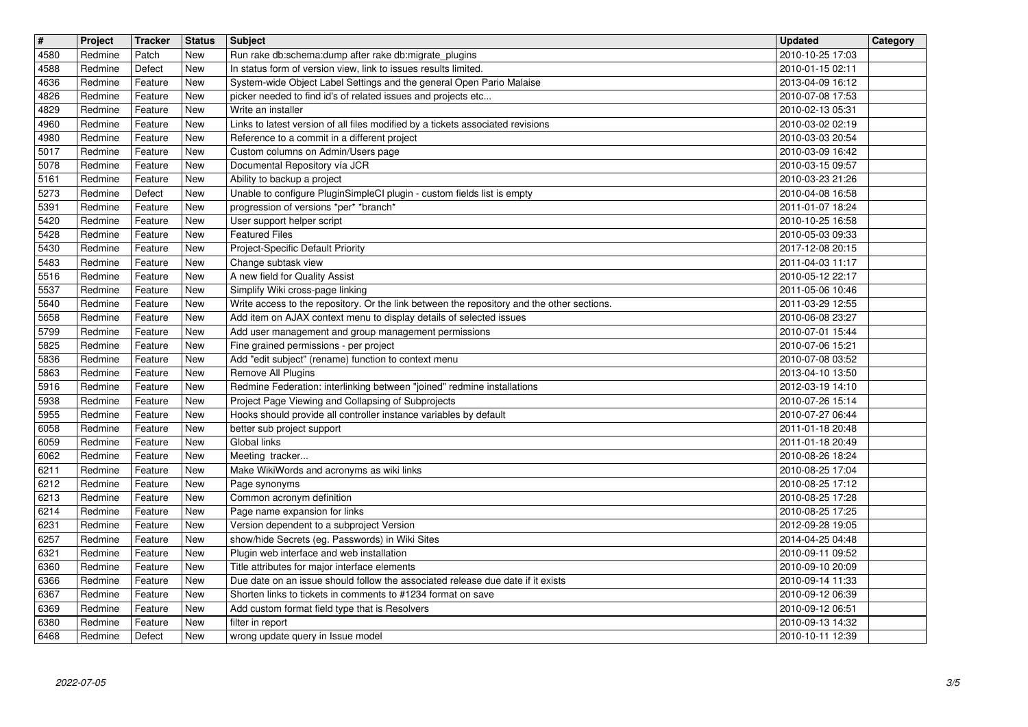| $\overline{\mathbf{H}}$<br>4580 | Project<br>Redmine | <b>Tracker</b><br>Patch | <b>Status</b><br><b>New</b> | <b>Subject</b><br>Run rake db:schema:dump after rake db:migrate_plugins                                                                                           | <b>Updated</b><br>2010-10-25 17:03   | Category |
|---------------------------------|--------------------|-------------------------|-----------------------------|-------------------------------------------------------------------------------------------------------------------------------------------------------------------|--------------------------------------|----------|
| 4588                            | Redmine            | Defect                  | New                         | In status form of version view, link to issues results limited.                                                                                                   | 2010-01-15 02:11                     |          |
| 4636<br>4826                    | Redmine<br>Redmine | Feature<br>Feature      | New<br>New                  | System-wide Object Label Settings and the general Open Pario Malaise<br>picker needed to find id's of related issues and projects etc                             | 2013-04-09 16:12<br>2010-07-08 17:53 |          |
| 4829                            | Redmine            | Feature                 | New                         | Write an installer                                                                                                                                                | 2010-02-13 05:31                     |          |
| 4960<br>4980                    | Redmine<br>Redmine | Feature<br>Feature      | New<br>New                  | Links to latest version of all files modified by a tickets associated revisions<br>Reference to a commit in a different project                                   | 2010-03-02 02:19<br>2010-03-03 20:54 |          |
| 5017<br>5078                    | Redmine<br>Redmine | Feature<br>Feature      | New<br>New                  | Custom columns on Admin/Users page<br>Documental Repository vía JCR                                                                                               | 2010-03-09 16:42<br>2010-03-15 09:57 |          |
| 5161                            | Redmine            | Feature                 | New                         | Ability to backup a project                                                                                                                                       | 2010-03-23 21:26                     |          |
| 5273<br>5391                    | Redmine<br>Redmine | Defect<br>Feature       | New<br>New                  | Unable to configure PluginSimpleCI plugin - custom fields list is empty<br>progression of versions *per* *branch*                                                 | 2010-04-08 16:58<br>2011-01-07 18:24 |          |
| 5420<br>5428                    | Redmine            | Feature                 | New<br>New                  | User support helper script<br><b>Featured Files</b>                                                                                                               | 2010-10-25 16:58                     |          |
| 5430                            | Redmine<br>Redmine | Feature<br>Feature      | New                         | Project-Specific Default Priority                                                                                                                                 | 2010-05-03 09:33<br>2017-12-08 20:15 |          |
| 5483<br>5516                    | Redmine<br>Redmine | Feature<br>Feature      | New<br>New                  | Change subtask view<br>A new field for Quality Assist                                                                                                             | 2011-04-03 11:17<br>2010-05-12 22:17 |          |
| 5537                            | Redmine            | Feature                 | New                         | Simplify Wiki cross-page linking                                                                                                                                  | 2011-05-06 10:46                     |          |
| 5640<br>5658                    | Redmine<br>Redmine | Feature<br>Feature      | New<br>New                  | Write access to the repository. Or the link between the repository and the other sections.<br>Add item on AJAX context menu to display details of selected issues | 2011-03-29 12:55<br>2010-06-08 23:27 |          |
| 5799<br>5825                    | Redmine<br>Redmine | Feature<br>Feature      | New<br>New                  | Add user management and group management permissions<br>Fine grained permissions - per project                                                                    | 2010-07-01 15:44<br>2010-07-06 15:21 |          |
| 5836                            | Redmine            | Feature                 | New                         | Add "edit subject" (rename) function to context menu                                                                                                              | 2010-07-08 03:52                     |          |
| 5863<br>5916                    | Redmine<br>Redmine | Feature<br>Feature      | New<br>New                  | Remove All Plugins<br>Redmine Federation: interlinking between "joined" redmine installations                                                                     | 2013-04-10 13:50<br>2012-03-19 14:10 |          |
| 5938<br>5955                    | Redmine<br>Redmine | Feature<br>Feature      | New<br>New                  | Project Page Viewing and Collapsing of Subprojects<br>Hooks should provide all controller instance variables by default                                           | 2010-07-26 15:14<br>2010-07-27 06:44 |          |
| 6058                            | Redmine            | Feature                 | <b>New</b>                  | better sub project support                                                                                                                                        | 2011-01-18 20:48                     |          |
| 6059<br>6062                    | Redmine<br>Redmine | Feature<br>Feature      | New<br>New                  | Global links<br>Meeting tracker                                                                                                                                   | 2011-01-18 20:49<br>2010-08-26 18:24 |          |
| 6211<br>6212                    | Redmine            | Feature                 | New                         | Make WikiWords and acronyms as wiki links                                                                                                                         | 2010-08-25 17:04                     |          |
| 6213                            | Redmine<br>Redmine | Feature<br>Feature      | New<br>New                  | Page synonyms<br>Common acronym definition                                                                                                                        | 2010-08-25 17:12<br>2010-08-25 17:28 |          |
| 6214<br>6231                    | Redmine<br>Redmine | Feature<br>Feature      | New<br>New                  | Page name expansion for links<br>Version dependent to a subproject Version                                                                                        | 2010-08-25 17:25<br>2012-09-28 19:05 |          |
| 6257                            | Redmine            | Feature                 | New                         | show/hide Secrets (eg. Passwords) in Wiki Sites                                                                                                                   | 2014-04-25 04:48                     |          |
| 6321<br>6360                    | Redmine<br>Redmine | Feature<br>Feature      | New<br>New                  | Plugin web interface and web installation<br>Title attributes for major interface elements                                                                        | 2010-09-11 09:52<br>2010-09-10 20:09 |          |
| 6366<br>6367                    | Redmine<br>Redmine | Feature<br>Feature      | New<br>New                  | Due date on an issue should follow the associated release due date if it exists<br>Shorten links to tickets in comments to #1234 format on save                   | 2010-09-14 11:33<br>2010-09-12 06:39 |          |
| 6369                            | Redmine            | Feature                 | New                         | Add custom format field type that is Resolvers                                                                                                                    | 2010-09-12 06:51                     |          |
| 6380<br>6468                    | Redmine<br>Redmine | Feature<br>Defect       | New<br>New                  | filter in report<br>wrong update query in Issue model                                                                                                             | 2010-09-13 14:32<br>2010-10-11 12:39 |          |
|                                 |                    |                         |                             |                                                                                                                                                                   |                                      |          |
|                                 |                    |                         |                             |                                                                                                                                                                   |                                      |          |
|                                 |                    |                         |                             |                                                                                                                                                                   |                                      |          |
|                                 |                    |                         |                             |                                                                                                                                                                   |                                      |          |
|                                 |                    |                         |                             |                                                                                                                                                                   |                                      |          |
|                                 |                    |                         |                             |                                                                                                                                                                   |                                      |          |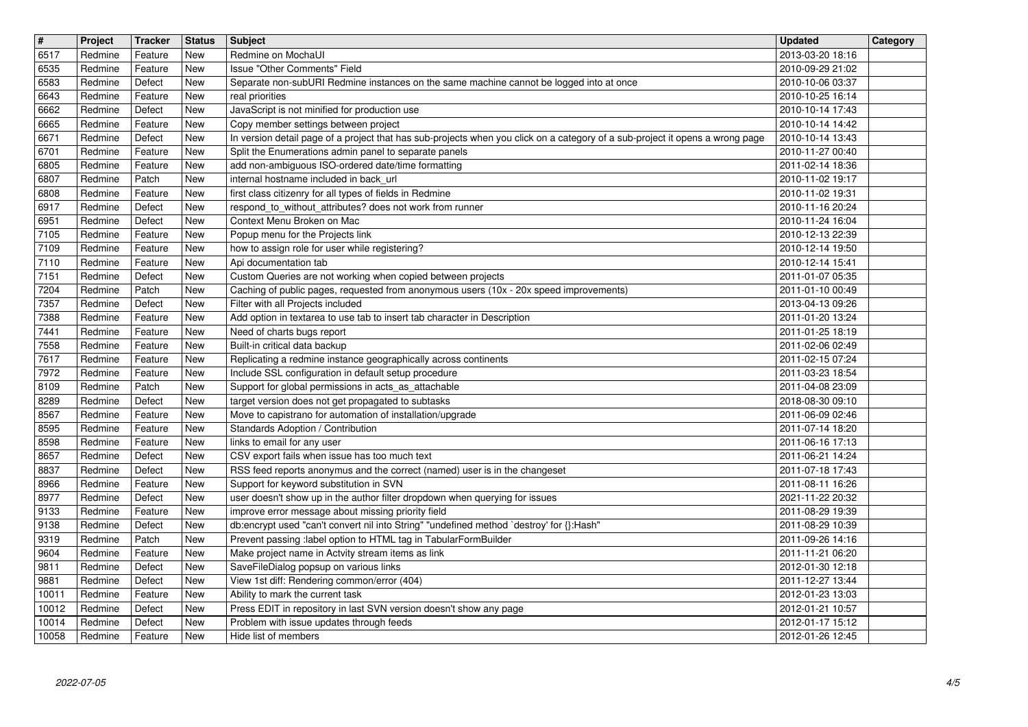| $\overline{\mathbf{H}}$ | Project            | Tracker            | <b>Status</b>     | <b>Subject</b>                                                                                                                                                                         | Updated                              | Category |
|-------------------------|--------------------|--------------------|-------------------|----------------------------------------------------------------------------------------------------------------------------------------------------------------------------------------|--------------------------------------|----------|
| 6517<br>6535            | Redmine<br>Redmine | Feature<br>Feature | New<br>New        | Redmine on MochaUI<br>Issue "Other Comments" Field                                                                                                                                     | 2013-03-20 18:16<br>2010-09-29 21:02 |          |
| 6583                    | Redmine            | Defect             | New               | Separate non-subURI Redmine instances on the same machine cannot be logged into at once                                                                                                | 2010-10-06 03:37                     |          |
| 6643<br>6662            | Redmine<br>Redmine | Feature<br>Defect  | New<br><b>New</b> | real priorities<br>JavaScript is not minified for production use                                                                                                                       | 2010-10-25 16:14<br>2010-10-14 17:43 |          |
| 6665                    | Redmine            | Feature            | New               | Copy member settings between project                                                                                                                                                   | 2010-10-14 14:42                     |          |
| 6671<br>6701            | Redmine<br>Redmine | Defect<br>Feature  | New<br>New        | In version detail page of a project that has sub-projects when you click on a category of a sub-project it opens a wrong page<br>Split the Enumerations admin panel to separate panels | 2010-10-14 13:43<br>2010-11-27 00:40 |          |
| 6805<br>6807            | Redmine<br>Redmine | Feature<br>Patch   | New<br>New        | add non-ambiguous ISO-ordered date/time formatting<br>internal hostname included in back_url                                                                                           | 2011-02-14 18:36<br>2010-11-02 19:17 |          |
| 6808                    | Redmine            | Feature            | New               | first class citizenry for all types of fields in Redmine                                                                                                                               | 2010-11-02 19:31                     |          |
| 6917<br>6951            | Redmine<br>Redmine | Defect<br>Defect   | New<br>New        | respond_to_without_attributes? does not work from runner<br>Context Menu Broken on Mac                                                                                                 | 2010-11-16 20:24<br>2010-11-24 16:04 |          |
| 7105                    | Redmine            | Feature            | New               | Popup menu for the Projects link                                                                                                                                                       | 2010-12-13 22:39                     |          |
| 7109<br>7110            | Redmine<br>Redmine | Feature<br>Feature | New<br>New        | how to assign role for user while registering?<br>Api documentation tab                                                                                                                | 2010-12-14 19:50<br>2010-12-14 15:41 |          |
| 7151                    | Redmine            | Defect             | New               | Custom Queries are not working when copied between projects                                                                                                                            | 2011-01-07 05:35                     |          |
| 7204<br>7357            | Redmine<br>Redmine | Patch<br>Defect    | New<br>New        | Caching of public pages, requested from anonymous users (10x - 20x speed improvements)<br>Filter with all Projects included                                                            | 2011-01-10 00:49<br>2013-04-13 09:26 |          |
| 7388                    | Redmine            | Feature            | New               | Add option in textarea to use tab to insert tab character in Description                                                                                                               | 2011-01-20 13:24                     |          |
| 7441<br>7558            | Redmine<br>Redmine | Feature<br>Feature | New<br>New        | Need of charts bugs report<br>Built-in critical data backup                                                                                                                            | 2011-01-25 18:19<br>2011-02-06 02:49 |          |
| 7617                    | Redmine            | Feature            | New               | Replicating a redmine instance geographically across continents                                                                                                                        | 2011-02-15 07:24                     |          |
| 7972<br>8109            | Redmine<br>Redmine | Feature<br>Patch   | New<br>New        | Include SSL configuration in default setup procedure<br>Support for global permissions in acts_as_attachable                                                                           | 2011-03-23 18:54<br>2011-04-08 23:09 |          |
| 8289                    | Redmine            | Defect             | New               | target version does not get propagated to subtasks                                                                                                                                     | 2018-08-30 09:10                     |          |
| 8567<br>8595            | Redmine<br>Redmine | Feature<br>Feature | New<br>New        | Move to capistrano for automation of installation/upgrade<br>Standards Adoption / Contribution                                                                                         | 2011-06-09 02:46<br>2011-07-14 18:20 |          |
| 8598                    | Redmine            | Feature            | New               | links to email for any user                                                                                                                                                            | 2011-06-16 17:13                     |          |
| 8657<br>8837            | Redmine<br>Redmine | Defect<br>Defect   | New<br>New        | CSV export fails when issue has too much text<br>RSS feed reports anonymus and the correct (named) user is in the changeset                                                            | 2011-06-21 14:24<br>2011-07-18 17:43 |          |
| 8966                    | Redmine            | Feature            | New               | Support for keyword substitution in SVN                                                                                                                                                | 2011-08-11 16:26                     |          |
| 8977<br>9133            | Redmine<br>Redmine | Defect<br>Feature  | New<br>New        | user doesn't show up in the author filter dropdown when querying for issues<br>improve error message about missing priority field                                                      | 2021-11-22 20:32<br>2011-08-29 19:39 |          |
| 9138                    | Redmine            | Defect             | New               | db:encrypt used "can't convert nil into String" "undefined method `destroy' for {}:Hash"                                                                                               | 2011-08-29 10:39                     |          |
| 9319<br>9604            | Redmine<br>Redmine | Patch<br>Feature   | New<br>New        | Prevent passing :label option to HTML tag in TabularFormBuilder<br>Make project name in Actvity stream items as link                                                                   | 2011-09-26 14:16<br>2011-11-21 06:20 |          |
| 9811                    | Redmine            | Defect             | New               | SaveFileDialog popsup on various links                                                                                                                                                 | 2012-01-30 12:18                     |          |
| 9881<br>10011           | Redmine<br>Redmine | Defect<br>Feature  | New<br>New        | View 1st diff: Rendering common/error (404)<br>Ability to mark the current task                                                                                                        | 2011-12-27 13:44<br>2012-01-23 13:03 |          |
| 10012                   | Redmine            | Defect             | New               | Press EDIT in repository in last SVN version doesn't show any page                                                                                                                     | 2012-01-21 10:57                     |          |
| 10014<br>10058          | Redmine<br>Redmine | Defect<br>Feature  | New<br>New        | Problem with issue updates through feeds<br>Hide list of members                                                                                                                       | 2012-01-17 15:12<br>2012-01-26 12:45 |          |
|                         |                    |                    |                   |                                                                                                                                                                                        |                                      |          |
|                         |                    |                    |                   |                                                                                                                                                                                        |                                      |          |
|                         |                    |                    |                   |                                                                                                                                                                                        |                                      |          |
|                         |                    |                    |                   |                                                                                                                                                                                        |                                      |          |
|                         |                    |                    |                   |                                                                                                                                                                                        |                                      |          |
|                         |                    |                    |                   |                                                                                                                                                                                        |                                      |          |
|                         |                    |                    |                   |                                                                                                                                                                                        |                                      |          |
|                         |                    |                    |                   |                                                                                                                                                                                        |                                      |          |
|                         |                    |                    |                   |                                                                                                                                                                                        |                                      |          |
|                         |                    |                    |                   |                                                                                                                                                                                        |                                      |          |
|                         |                    |                    |                   |                                                                                                                                                                                        |                                      |          |